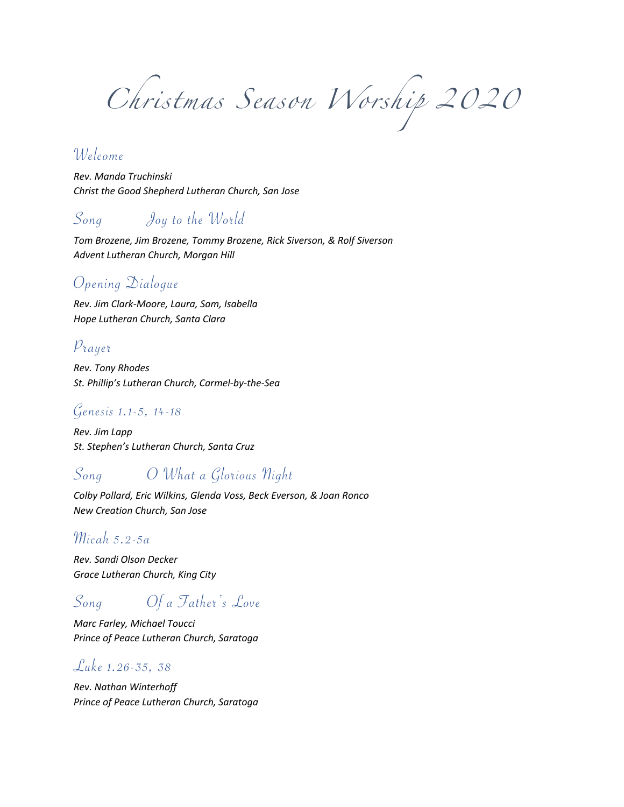*Christmas Season Worship 2020*

### Welcome

*Rev. Manda Truchinski Christ the Good Shepherd Lutheran Church, San Jose*

### Song Joy to the World

*Tom Brozene, Jim Brozene, Tommy Brozene, Rick Siverson, & Rolf Siverson Advent Lutheran Church, Morgan Hill*

### Opening Dialogue

*Rev. Jim Clark-Moore, Laura, Sam, Isabella Hope Lutheran Church, Santa Clara*

### Prayer

*Rev. Tony Rhodes St. Phillip's Lutheran Church, Carmel-by-the-Sea*

#### Genesis 1.1-5, 14-18

*Rev. Jim Lapp St. Stephen's Lutheran Church, Santa Cruz*

# Song O What a Glorious Night

*Colby Pollard, Eric Wilkins, Glenda Voss, Beck Everson, & Joan Ronco New Creation Church, San Jose*

#### $\mathcal{M}$ icah 5.2-5a

*Rev. Sandi Olson Decker Grace Lutheran Church, King City*

# Song Of a Father's Love

*Marc Farley, Michael Toucci Prince of Peace Lutheran Church, Saratoga*

#### Luke 1.26-35, 38

*Rev. Nathan Winterhoff Prince of Peace Lutheran Church, Saratoga*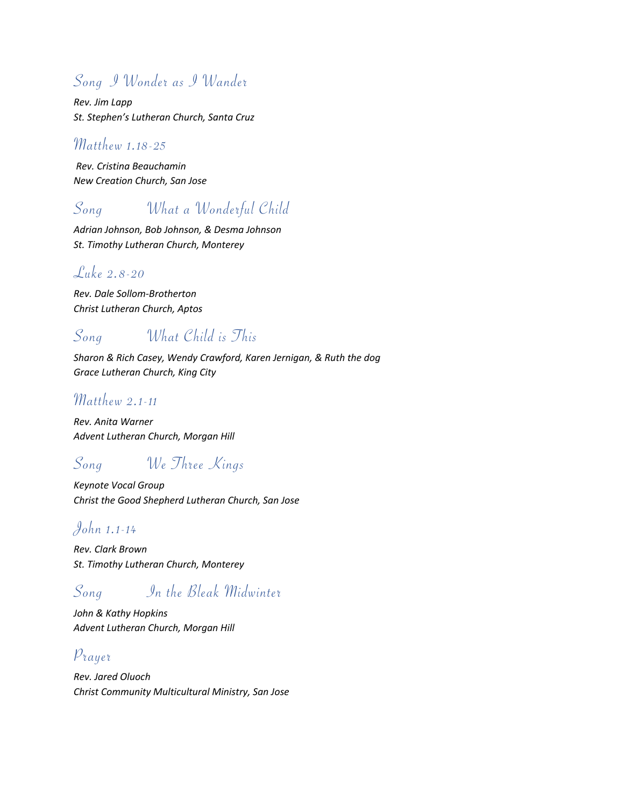# Song I Wonder as I Wander

*Rev. Jim Lapp St. Stephen's Lutheran Church, Santa Cruz*

#### Matthew 1.18-25

*Rev. Cristina Beauchamin New Creation Church, San Jose*

# Song What a Wonderful Child

*Adrian Johnson, Bob Johnson, & Desma Johnson St. Timothy Lutheran Church, Monterey*

### Luke 2.8-20

*Rev. Dale Sollom-Brotherton Christ Lutheran Church, Aptos*

## Song What Child is This

*Sharon & Rich Casey, Wendy Crawford, Karen Jernigan, & Ruth the dog Grace Lutheran Church, King City*

### Matthew 2.1-11

*Rev. Anita Warner Advent Lutheran Church, Morgan Hill*

## Song We Three Kings

*Keynote Vocal Group Christ the Good Shepherd Lutheran Church, San Jose*

### John 1.1-14

*Rev. Clark Brown St. Timothy Lutheran Church, Monterey*

# Song In the Bleak Midwinter

*John & Kathy Hopkins Advent Lutheran Church, Morgan Hill*

### Prayer

*Rev. Jared Oluoch Christ Community Multicultural Ministry, San Jose*